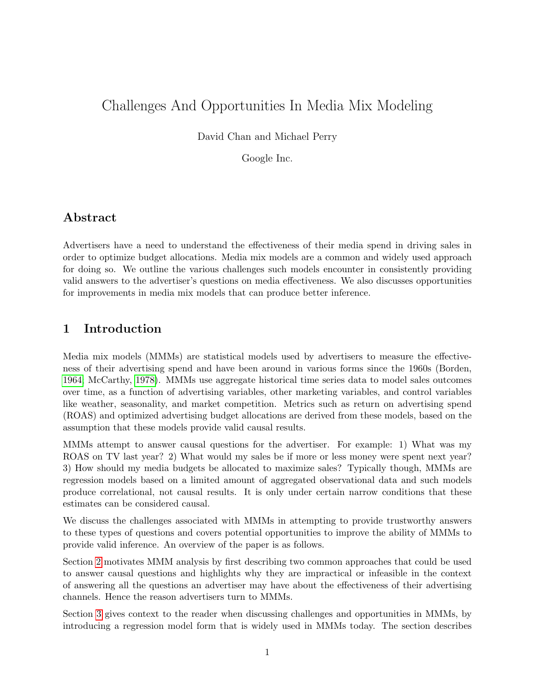# Challenges And Opportunities In Media Mix Modeling

David Chan and Michael Perry

Google Inc.

## Abstract

Advertisers have a need to understand the effectiveness of their media spend in driving sales in order to optimize budget allocations. Media mix models are a common and widely used approach for doing so. We outline the various challenges such models encounter in consistently providing valid answers to the advertiser's questions on media effectiveness. We also discusses opportunities for improvements in media mix models that can produce better inference.

## 1 Introduction

Media mix models (MMMs) are statistical models used by advertisers to measure the effectiveness of their advertising spend and have been around in various forms since the 1960s (Borden, [1964;](#page-14-0) McCarthy, [1978\)](#page-15-0). MMMs use aggregate historical time series data to model sales outcomes over time, as a function of advertising variables, other marketing variables, and control variables like weather, seasonality, and market competition. Metrics such as return on advertising spend (ROAS) and optimized advertising budget allocations are derived from these models, based on the assumption that these models provide valid causal results.

MMMs attempt to answer causal questions for the advertiser. For example: 1) What was my ROAS on TV last year? 2) What would my sales be if more or less money were spent next year? 3) How should my media budgets be allocated to maximize sales? Typically though, MMMs are regression models based on a limited amount of aggregated observational data and such models produce correlational, not causal results. It is only under certain narrow conditions that these estimates can be considered causal.

We discuss the challenges associated with MMMs in attempting to provide trustworthy answers to these types of questions and covers potential opportunities to improve the ability of MMMs to provide valid inference. An overview of the paper is as follows.

Section [2](#page-1-0) motivates MMM analysis by first describing two common approaches that could be used to answer causal questions and highlights why they are impractical or infeasible in the context of answering all the questions an advertiser may have about the effectiveness of their advertising channels. Hence the reason advertisers turn to MMMs.

Section [3](#page-3-0) gives context to the reader when discussing challenges and opportunities in MMMs, by introducing a regression model form that is widely used in MMMs today. The section describes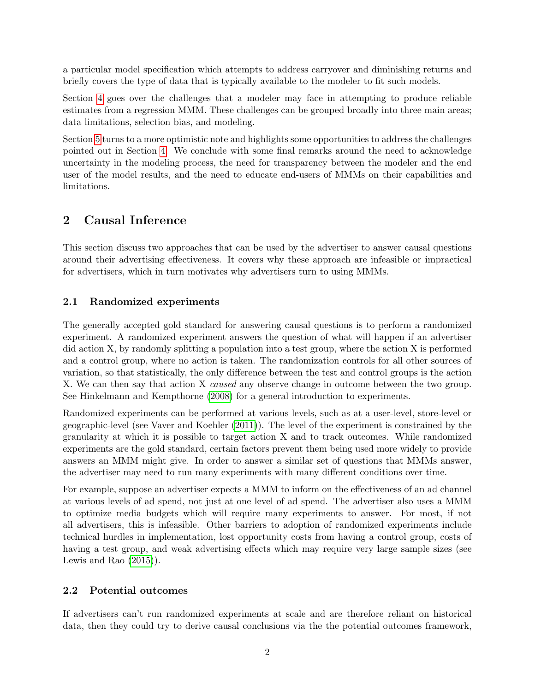a particular model specification which attempts to address carryover and diminishing returns and briefly covers the type of data that is typically available to the modeler to fit such models.

Section [4](#page-5-0) goes over the challenges that a modeler may face in attempting to produce reliable estimates from a regression MMM. These challenges can be grouped broadly into three main areas; data limitations, selection bias, and modeling.

Section [5](#page-10-0) turns to a more optimistic note and highlights some opportunities to address the challenges pointed out in Section [4.](#page-5-0) We conclude with some final remarks around the need to acknowledge uncertainty in the modeling process, the need for transparency between the modeler and the end user of the model results, and the need to educate end-users of MMMs on their capabilities and limitations.

# <span id="page-1-0"></span>2 Causal Inference

This section discuss two approaches that can be used by the advertiser to answer causal questions around their advertising effectiveness. It covers why these approach are infeasible or impractical for advertisers, which in turn motivates why advertisers turn to using MMMs.

### 2.1 Randomized experiments

The generally accepted gold standard for answering causal questions is to perform a randomized experiment. A randomized experiment answers the question of what will happen if an advertiser did action X, by randomly splitting a population into a test group, where the action X is performed and a control group, where no action is taken. The randomization controls for all other sources of variation, so that statistically, the only difference between the test and control groups is the action X. We can then say that action X caused any observe change in outcome between the two group. See Hinkelmann and Kempthorne [\(2008\)](#page-15-1) for a general introduction to experiments.

Randomized experiments can be performed at various levels, such as at a user-level, store-level or geographic-level (see Vaver and Koehler [\(2011\)](#page-15-2)). The level of the experiment is constrained by the granularity at which it is possible to target action X and to track outcomes. While randomized experiments are the gold standard, certain factors prevent them being used more widely to provide answers an MMM might give. In order to answer a similar set of questions that MMMs answer, the advertiser may need to run many experiments with many different conditions over time.

For example, suppose an advertiser expects a MMM to inform on the effectiveness of an ad channel at various levels of ad spend, not just at one level of ad spend. The advertiser also uses a MMM to optimize media budgets which will require many experiments to answer. For most, if not all advertisers, this is infeasible. Other barriers to adoption of randomized experiments include technical hurdles in implementation, lost opportunity costs from having a control group, costs of having a test group, and weak advertising effects which may require very large sample sizes (see Lewis and Rao  $(2015)$ .

### 2.2 Potential outcomes

If advertisers can't run randomized experiments at scale and are therefore reliant on historical data, then they could try to derive causal conclusions via the the potential outcomes framework,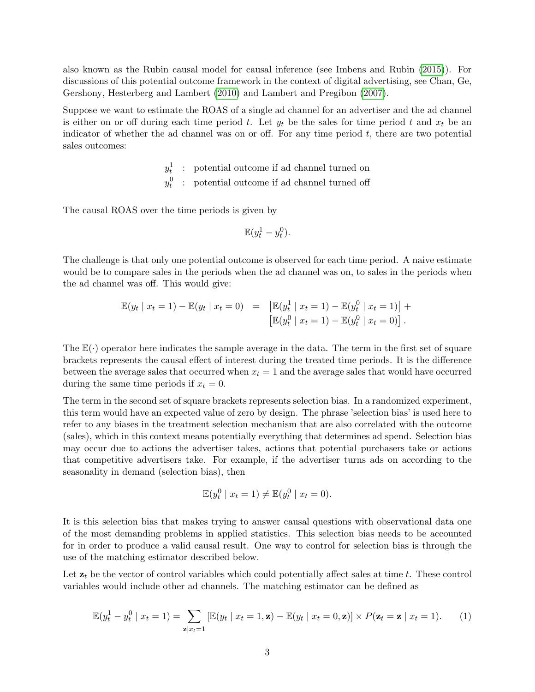also known as the Rubin causal model for causal inference (see Imbens and Rubin [\(2015\)](#page-15-4)). For discussions of this potential outcome framework in the context of digital advertising, see Chan, Ge, Gershony, Hesterberg and Lambert [\(2010\)](#page-15-5) and Lambert and Pregibon [\(2007\)](#page-15-6).

Suppose we want to estimate the ROAS of a single ad channel for an advertiser and the ad channel is either on or off during each time period t. Let  $y_t$  be the sales for time period t and  $x_t$  be an indicator of whether the ad channel was on or off. For any time period  $t$ , there are two potential sales outcomes:

> $y_t^1$ : potential outcome if ad channel turned on  $y_t^0$ : potential outcome if ad channel turned off

The causal ROAS over the time periods is given by

$$
\mathbb{E}(y_t^1 - y_t^0).
$$

The challenge is that only one potential outcome is observed for each time period. A naive estimate would be to compare sales in the periods when the ad channel was on, to sales in the periods when the ad channel was off. This would give:

$$
\mathbb{E}(y_t | x_t = 1) - \mathbb{E}(y_t | x_t = 0) = \left[ \mathbb{E}(y_t^1 | x_t = 1) - \mathbb{E}(y_t^0 | x_t = 1) \right] + \left[ \mathbb{E}(y_t^0 | x_t = 1) - \mathbb{E}(y_t^0 | x_t = 0) \right].
$$

The  $\mathbb{E}(\cdot)$  operator here indicates the sample average in the data. The term in the first set of square brackets represents the causal effect of interest during the treated time periods. It is the difference between the average sales that occurred when  $x_t = 1$  and the average sales that would have occurred during the same time periods if  $x_t = 0$ .

The term in the second set of square brackets represents selection bias. In a randomized experiment, this term would have an expected value of zero by design. The phrase 'selection bias' is used here to refer to any biases in the treatment selection mechanism that are also correlated with the outcome (sales), which in this context means potentially everything that determines ad spend. Selection bias may occur due to actions the advertiser takes, actions that potential purchasers take or actions that competitive advertisers take. For example, if the advertiser turns ads on according to the seasonality in demand (selection bias), then

$$
\mathbb{E}(y_t^0 \mid x_t = 1) \neq \mathbb{E}(y_t^0 \mid x_t = 0).
$$

It is this selection bias that makes trying to answer causal questions with observational data one of the most demanding problems in applied statistics. This selection bias needs to be accounted for in order to produce a valid causal result. One way to control for selection bias is through the use of the matching estimator described below.

Let  $z_t$  be the vector of control variables which could potentially affect sales at time t. These control variables would include other ad channels. The matching estimator can be defined as

$$
\mathbb{E}(y_t^1 - y_t^0 \mid x_t = 1) = \sum_{\mathbf{z}|x_t=1} \left[ \mathbb{E}(y_t \mid x_t = 1, \mathbf{z}) - \mathbb{E}(y_t \mid x_t = 0, \mathbf{z}) \right] \times P(\mathbf{z}_t = \mathbf{z} \mid x_t = 1).
$$
 (1)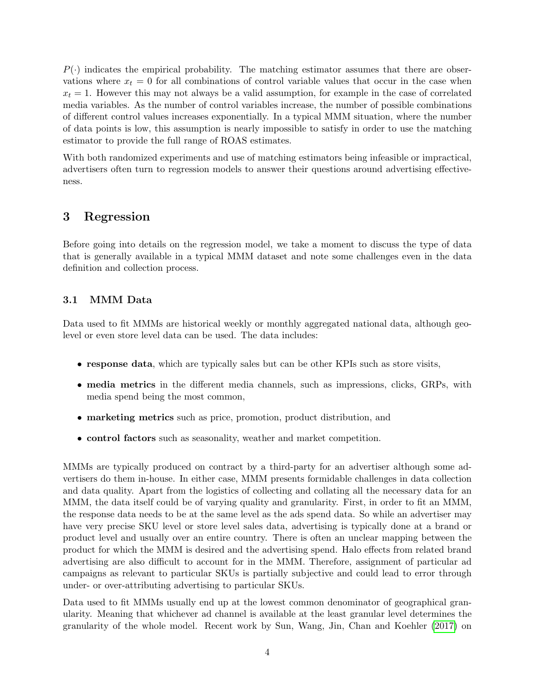$P(\cdot)$  indicates the empirical probability. The matching estimator assumes that there are observations where  $x_t = 0$  for all combinations of control variable values that occur in the case when  $x_t = 1$ . However this may not always be a valid assumption, for example in the case of correlated media variables. As the number of control variables increase, the number of possible combinations of different control values increases exponentially. In a typical MMM situation, where the number of data points is low, this assumption is nearly impossible to satisfy in order to use the matching estimator to provide the full range of ROAS estimates.

With both randomized experiments and use of matching estimators being infeasible or impractical, advertisers often turn to regression models to answer their questions around advertising effectiveness.

### <span id="page-3-0"></span>3 Regression

Before going into details on the regression model, we take a moment to discuss the type of data that is generally available in a typical MMM dataset and note some challenges even in the data definition and collection process.

#### 3.1 MMM Data

Data used to fit MMMs are historical weekly or monthly aggregated national data, although geolevel or even store level data can be used. The data includes:

- response data, which are typically sales but can be other KPIs such as store visits,
- media metrics in the different media channels, such as impressions, clicks, GRPs, with media spend being the most common,
- marketing metrics such as price, promotion, product distribution, and
- control factors such as seasonality, weather and market competition.

MMMs are typically produced on contract by a third-party for an advertiser although some advertisers do them in-house. In either case, MMM presents formidable challenges in data collection and data quality. Apart from the logistics of collecting and collating all the necessary data for an MMM, the data itself could be of varying quality and granularity. First, in order to fit an MMM, the response data needs to be at the same level as the ads spend data. So while an advertiser may have very precise SKU level or store level sales data, advertising is typically done at a brand or product level and usually over an entire country. There is often an unclear mapping between the product for which the MMM is desired and the advertising spend. Halo effects from related brand advertising are also difficult to account for in the MMM. Therefore, assignment of particular ad campaigns as relevant to particular SKUs is partially subjective and could lead to error through under- or over-attributing advertising to particular SKUs.

Data used to fit MMMs usually end up at the lowest common denominator of geographical granularity. Meaning that whichever ad channel is available at the least granular level determines the granularity of the whole model. Recent work by Sun, Wang, Jin, Chan and Koehler [\(2017\)](#page-15-7) on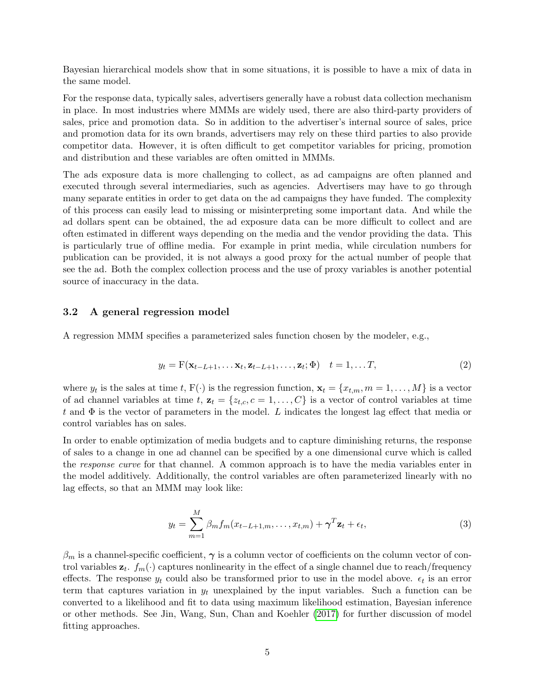Bayesian hierarchical models show that in some situations, it is possible to have a mix of data in the same model.

For the response data, typically sales, advertisers generally have a robust data collection mechanism in place. In most industries where MMMs are widely used, there are also third-party providers of sales, price and promotion data. So in addition to the advertiser's internal source of sales, price and promotion data for its own brands, advertisers may rely on these third parties to also provide competitor data. However, it is often difficult to get competitor variables for pricing, promotion and distribution and these variables are often omitted in MMMs.

The ads exposure data is more challenging to collect, as ad campaigns are often planned and executed through several intermediaries, such as agencies. Advertisers may have to go through many separate entities in order to get data on the ad campaigns they have funded. The complexity of this process can easily lead to missing or misinterpreting some important data. And while the ad dollars spent can be obtained, the ad exposure data can be more difficult to collect and are often estimated in different ways depending on the media and the vendor providing the data. This is particularly true of offline media. For example in print media, while circulation numbers for publication can be provided, it is not always a good proxy for the actual number of people that see the ad. Both the complex collection process and the use of proxy variables is another potential source of inaccuracy in the data.

#### 3.2 A general regression model

A regression MMM specifies a parameterized sales function chosen by the modeler, e.g.,

$$
y_t = \mathbf{F}(\mathbf{x}_{t-L+1}, \dots, \mathbf{x}_t, \mathbf{z}_{t-L+1}, \dots, \mathbf{z}_t; \Phi) \quad t = 1, \dots T,
$$
\n(2)

where  $y_t$  is the sales at time t,  $F(\cdot)$  is the regression function,  $\mathbf{x}_t = \{x_{t,m}, m = 1, \ldots, M\}$  is a vector of ad channel variables at time t,  $\mathbf{z}_t = \{z_{t,c}, c = 1, \ldots, C\}$  is a vector of control variables at time t and  $\Phi$  is the vector of parameters in the model. L indicates the longest lag effect that media or control variables has on sales.

In order to enable optimization of media budgets and to capture diminishing returns, the response of sales to a change in one ad channel can be specified by a one dimensional curve which is called the response curve for that channel. A common approach is to have the media variables enter in the model additively. Additionally, the control variables are often parameterized linearly with no lag effects, so that an MMM may look like:

<span id="page-4-0"></span>
$$
y_t = \sum_{m=1}^{M} \beta_m f_m(x_{t-L+1,m}, \dots, x_{t,m}) + \gamma^T \mathbf{z}_t + \epsilon_t,
$$
\n(3)

 $\beta_m$  is a channel-specific coefficient,  $\gamma$  is a column vector of coefficients on the column vector of control variables  $\mathbf{z}_t$ .  $f_m(\cdot)$  captures nonlinearity in the effect of a single channel due to reach/frequency effects. The response  $y_t$  could also be transformed prior to use in the model above.  $\epsilon_t$  is an error term that captures variation in  $y_t$  unexplained by the input variables. Such a function can be converted to a likelihood and fit to data using maximum likelihood estimation, Bayesian inference or other methods. See Jin, Wang, Sun, Chan and Koehler [\(2017\)](#page-15-8) for further discussion of model fitting approaches.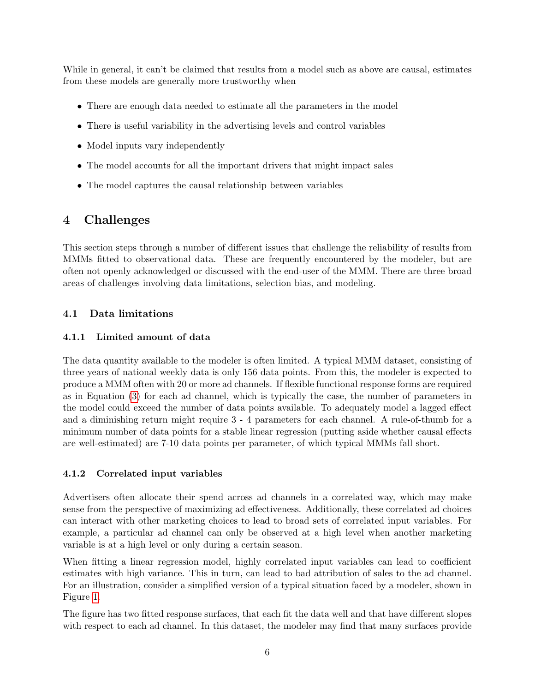While in general, it can't be claimed that results from a model such as above are causal, estimates from these models are generally more trustworthy when

- There are enough data needed to estimate all the parameters in the model
- There is useful variability in the advertising levels and control variables
- Model inputs vary independently
- The model accounts for all the important drivers that might impact sales
- The model captures the causal relationship between variables

# <span id="page-5-0"></span>4 Challenges

This section steps through a number of different issues that challenge the reliability of results from MMMs fitted to observational data. These are frequently encountered by the modeler, but are often not openly acknowledged or discussed with the end-user of the MMM. There are three broad areas of challenges involving data limitations, selection bias, and modeling.

### 4.1 Data limitations

#### 4.1.1 Limited amount of data

The data quantity available to the modeler is often limited. A typical MMM dataset, consisting of three years of national weekly data is only 156 data points. From this, the modeler is expected to produce a MMM often with 20 or more ad channels. If flexible functional response forms are required as in Equation [\(3\)](#page-4-0) for each ad channel, which is typically the case, the number of parameters in the model could exceed the number of data points available. To adequately model a lagged effect and a diminishing return might require 3 - 4 parameters for each channel. A rule-of-thumb for a minimum number of data points for a stable linear regression (putting aside whether causal effects are well-estimated) are 7-10 data points per parameter, of which typical MMMs fall short.

#### 4.1.2 Correlated input variables

Advertisers often allocate their spend across ad channels in a correlated way, which may make sense from the perspective of maximizing ad effectiveness. Additionally, these correlated ad choices can interact with other marketing choices to lead to broad sets of correlated input variables. For example, a particular ad channel can only be observed at a high level when another marketing variable is at a high level or only during a certain season.

When fitting a linear regression model, highly correlated input variables can lead to coefficient estimates with high variance. This in turn, can lead to bad attribution of sales to the ad channel. For an illustration, consider a simplified version of a typical situation faced by a modeler, shown in Figure [1.](#page-6-0)

The figure has two fitted response surfaces, that each fit the data well and that have different slopes with respect to each ad channel. In this dataset, the modeler may find that many surfaces provide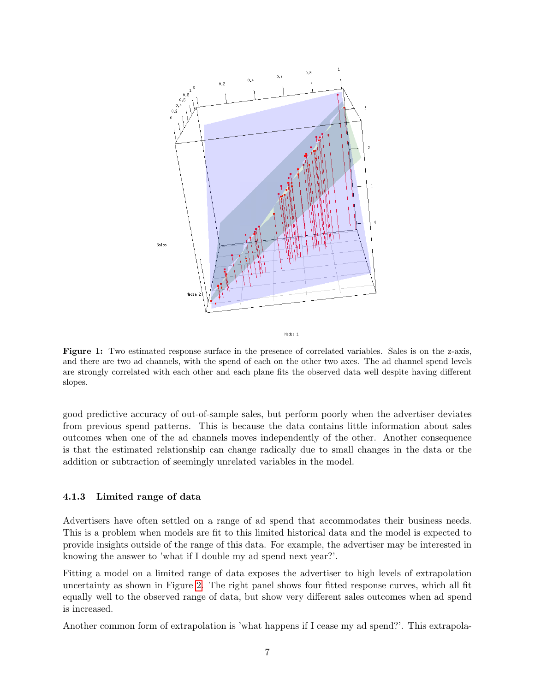<span id="page-6-0"></span>

Figure 1: Two estimated response surface in the presence of correlated variables. Sales is on the z-axis, and there are two ad channels, with the spend of each on the other two axes. The ad channel spend levels are strongly correlated with each other and each plane fits the observed data well despite having different slopes.

good predictive accuracy of out-of-sample sales, but perform poorly when the advertiser deviates from previous spend patterns. This is because the data contains little information about sales outcomes when one of the ad channels moves independently of the other. Another consequence is that the estimated relationship can change radically due to small changes in the data or the addition or subtraction of seemingly unrelated variables in the model.

#### 4.1.3 Limited range of data

Advertisers have often settled on a range of ad spend that accommodates their business needs. This is a problem when models are fit to this limited historical data and the model is expected to provide insights outside of the range of this data. For example, the advertiser may be interested in knowing the answer to 'what if I double my ad spend next year?'.

Fitting a model on a limited range of data exposes the advertiser to high levels of extrapolation uncertainty as shown in Figure [2.](#page-7-0) The right panel shows four fitted response curves, which all fit equally well to the observed range of data, but show very different sales outcomes when ad spend is increased.

Another common form of extrapolation is 'what happens if I cease my ad spend?'. This extrapola-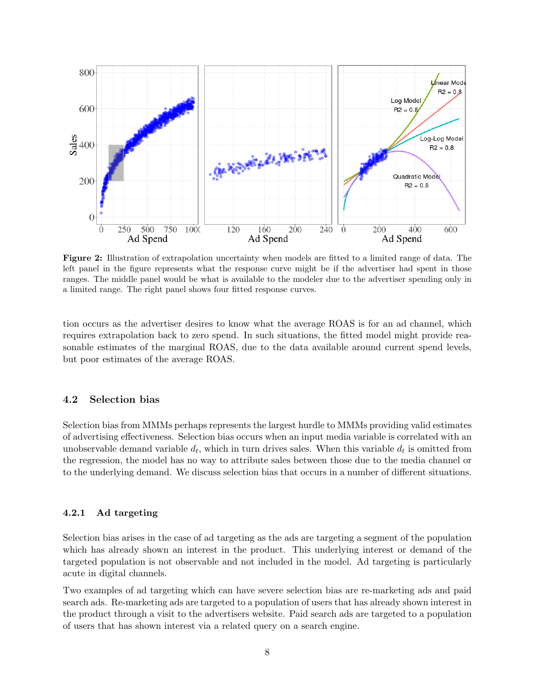<span id="page-7-0"></span>

Figure 2: Illustration of extrapolation uncertainty when models are fitted to a limited range of data. The left panel in the figure represents what the response curve might be if the advertiser had spent in those ranges. The middle panel would be what is available to the modeler due to the advertiser spending only in a limited range. The right panel shows four fitted response curves.

tion occurs as the advertiser desires to know what the average ROAS is for an ad channel, which requires extrapolation back to zero spend. In such situations, the fitted model might provide reasonable estimates of the marginal ROAS, due to the data available around current spend levels, but poor estimates of the average ROAS.

#### 4.2 Selection bias

Selection bias from MMMs perhaps represents the largest hurdle to MMMs providing valid estimates of advertising effectiveness. Selection bias occurs when an input media variable is correlated with an unobservable demand variable  $d_t$ , which in turn drives sales. When this variable  $d_t$  is omitted from the regression, the model has no way to attribute sales between those due to the media channel or to the underlying demand. We discuss selection bias that occurs in a number of different situations.

#### 4.2.1 Ad targeting

Selection bias arises in the case of ad targeting as the ads are targeting a segment of the population which has already shown an interest in the product. This underlying interest or demand of the targeted population is not observable and not included in the model. Ad targeting is particularly acute in digital channels.

Two examples of ad targeting which can have severe selection bias are re-marketing ads and paid search ads. Re-marketing ads are targeted to a population of users that has already shown interest in the product through a visit to the advertisers website. Paid search ads are targeted to a population of users that has shown interest via a related query on a search engine.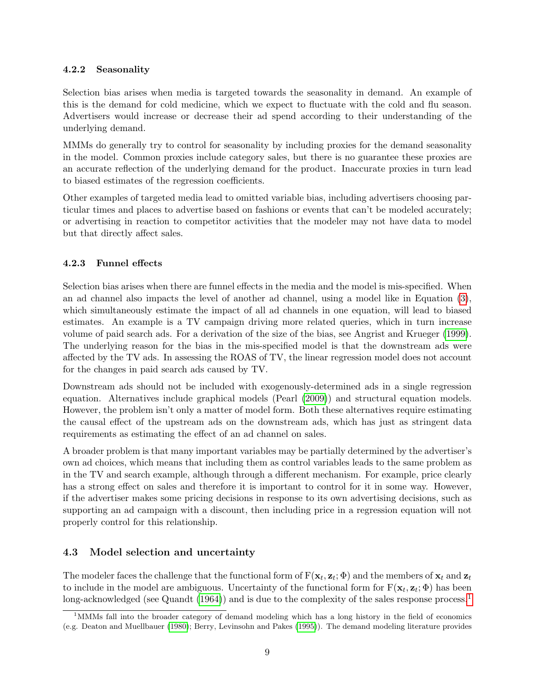#### 4.2.2 Seasonality

Selection bias arises when media is targeted towards the seasonality in demand. An example of this is the demand for cold medicine, which we expect to fluctuate with the cold and flu season. Advertisers would increase or decrease their ad spend according to their understanding of the underlying demand.

MMMs do generally try to control for seasonality by including proxies for the demand seasonality in the model. Common proxies include category sales, but there is no guarantee these proxies are an accurate reflection of the underlying demand for the product. Inaccurate proxies in turn lead to biased estimates of the regression coefficients.

Other examples of targeted media lead to omitted variable bias, including advertisers choosing particular times and places to advertise based on fashions or events that can't be modeled accurately; or advertising in reaction to competitor activities that the modeler may not have data to model but that directly affect sales.

### 4.2.3 Funnel effects

Selection bias arises when there are funnel effects in the media and the model is mis-specified. When an ad channel also impacts the level of another ad channel, using a model like in Equation [\(3\)](#page-4-0), which simultaneously estimate the impact of all ad channels in one equation, will lead to biased estimates. An example is a TV campaign driving more related queries, which in turn increase volume of paid search ads. For a derivation of the size of the bias, see Angrist and Krueger [\(1999\)](#page-14-1). The underlying reason for the bias in the mis-specified model is that the downstream ads were affected by the TV ads. In assessing the ROAS of TV, the linear regression model does not account for the changes in paid search ads caused by TV.

Downstream ads should not be included with exogenously-determined ads in a single regression equation. Alternatives include graphical models (Pearl [\(2009\)](#page-15-9)) and structural equation models. However, the problem isn't only a matter of model form. Both these alternatives require estimating the causal effect of the upstream ads on the downstream ads, which has just as stringent data requirements as estimating the effect of an ad channel on sales.

A broader problem is that many important variables may be partially determined by the advertiser's own ad choices, which means that including them as control variables leads to the same problem as in the TV and search example, although through a different mechanism. For example, price clearly has a strong effect on sales and therefore it is important to control for it in some way. However, if the advertiser makes some pricing decisions in response to its own advertising decisions, such as supporting an ad campaign with a discount, then including price in a regression equation will not properly control for this relationship.

## 4.3 Model selection and uncertainty

The modeler faces the challenge that the functional form of  $F(\mathbf{x}_t, \mathbf{z}_t; \Phi)$  and the members of  $\mathbf{x}_t$  and  $\mathbf{z}_t$ to include in the model are ambiguous. Uncertainty of the functional form for  $F(\mathbf{x}_t, \mathbf{z}_t; \Phi)$  has been long-acknowledged (see Quandt  $(1964)$ ) and is due to the complexity of the sales response process.<sup>[1](#page-8-0)</sup>

<span id="page-8-0"></span> $1<sup>1</sup>$ MMMs fall into the broader category of demand modeling which has a long history in the field of economics (e.g. Deaton and Muellbauer [\(1980\)](#page-15-11); Berry, Levinsohn and Pakes [\(1995\)](#page-14-2)). The demand modeling literature provides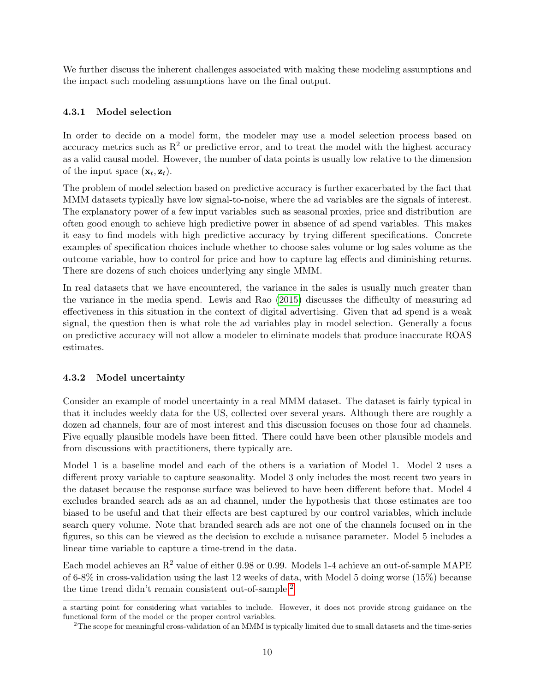We further discuss the inherent challenges associated with making these modeling assumptions and the impact such modeling assumptions have on the final output.

#### 4.3.1 Model selection

In order to decide on a model form, the modeler may use a model selection process based on accuracy metrics such as  $R^2$  or predictive error, and to treat the model with the highest accuracy as a valid causal model. However, the number of data points is usually low relative to the dimension of the input space  $(\mathbf{x}_t, \mathbf{z}_t)$ .

The problem of model selection based on predictive accuracy is further exacerbated by the fact that MMM datasets typically have low signal-to-noise, where the ad variables are the signals of interest. The explanatory power of a few input variables–such as seasonal proxies, price and distribution–are often good enough to achieve high predictive power in absence of ad spend variables. This makes it easy to find models with high predictive accuracy by trying different specifications. Concrete examples of specification choices include whether to choose sales volume or log sales volume as the outcome variable, how to control for price and how to capture lag effects and diminishing returns. There are dozens of such choices underlying any single MMM.

In real datasets that we have encountered, the variance in the sales is usually much greater than the variance in the media spend. Lewis and Rao [\(2015\)](#page-15-3) discusses the difficulty of measuring ad effectiveness in this situation in the context of digital advertising. Given that ad spend is a weak signal, the question then is what role the ad variables play in model selection. Generally a focus on predictive accuracy will not allow a modeler to eliminate models that produce inaccurate ROAS estimates.

### 4.3.2 Model uncertainty

Consider an example of model uncertainty in a real MMM dataset. The dataset is fairly typical in that it includes weekly data for the US, collected over several years. Although there are roughly a dozen ad channels, four are of most interest and this discussion focuses on those four ad channels. Five equally plausible models have been fitted. There could have been other plausible models and from discussions with practitioners, there typically are.

Model 1 is a baseline model and each of the others is a variation of Model 1. Model 2 uses a different proxy variable to capture seasonality. Model 3 only includes the most recent two years in the dataset because the response surface was believed to have been different before that. Model 4 excludes branded search ads as an ad channel, under the hypothesis that those estimates are too biased to be useful and that their effects are best captured by our control variables, which include search query volume. Note that branded search ads are not one of the channels focused on in the figures, so this can be viewed as the decision to exclude a nuisance parameter. Model 5 includes a linear time variable to capture a time-trend in the data.

Each model achieves an  $R^2$  value of either 0.98 or 0.99. Models 1-4 achieve an out-of-sample MAPE of 6-8% in cross-validation using the last 12 weeks of data, with Model 5 doing worse (15%) because the time trend didn't remain consistent out-of-sample.<sup>[2](#page-9-0)</sup>

a starting point for considering what variables to include. However, it does not provide strong guidance on the functional form of the model or the proper control variables.

<span id="page-9-0"></span><sup>&</sup>lt;sup>2</sup>The scope for meaningful cross-validation of an MMM is typically limited due to small datasets and the time-series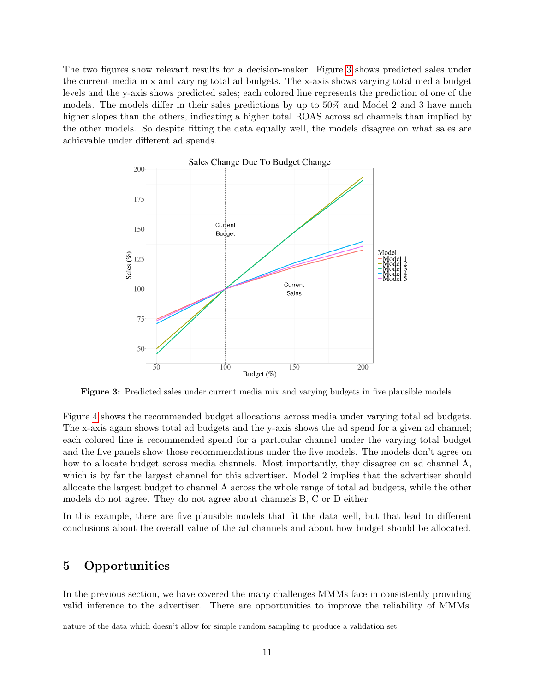The two figures show relevant results for a decision-maker. Figure [3](#page-10-1) shows predicted sales under the current media mix and varying total ad budgets. The x-axis shows varying total media budget levels and the y-axis shows predicted sales; each colored line represents the prediction of one of the models. The models differ in their sales predictions by up to 50% and Model 2 and 3 have much higher slopes than the others, indicating a higher total ROAS across ad channels than implied by the other models. So despite fitting the data equally well, the models disagree on what sales are achievable under different ad spends.

<span id="page-10-1"></span>

Figure 3: Predicted sales under current media mix and varying budgets in five plausible models.

Figure [4](#page-11-0) shows the recommended budget allocations across media under varying total ad budgets. The x-axis again shows total ad budgets and the y-axis shows the ad spend for a given ad channel; each colored line is recommended spend for a particular channel under the varying total budget and the five panels show those recommendations under the five models. The models don't agree on how to allocate budget across media channels. Most importantly, they disagree on ad channel A, which is by far the largest channel for this advertiser. Model 2 implies that the advertiser should allocate the largest budget to channel A across the whole range of total ad budgets, while the other models do not agree. They do not agree about channels B, C or D either.

In this example, there are five plausible models that fit the data well, but that lead to different conclusions about the overall value of the ad channels and about how budget should be allocated.

## <span id="page-10-0"></span>5 Opportunities

In the previous section, we have covered the many challenges MMMs face in consistently providing valid inference to the advertiser. There are opportunities to improve the reliability of MMMs.

nature of the data which doesn't allow for simple random sampling to produce a validation set.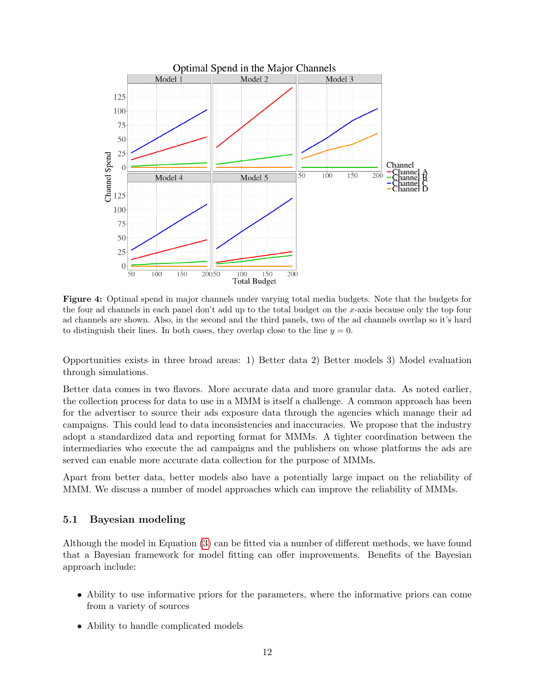<span id="page-11-0"></span>

Figure 4: Optimal spend in major channels under varying total media budgets. Note that the budgets for the four ad channels in each panel don't add up to the total budget on the x-axis because only the top four ad channels are shown. Also, in the second and the third panels, two of the ad channels overlap so it's hard to distinguish their lines. In both cases, they overlap close to the line  $y = 0$ .

Opportunities exists in three broad areas: 1) Better data 2) Better models 3) Model evaluation through simulations.

Better data comes in two flavors. More accurate data and more granular data. As noted earlier, the collection process for data to use in a MMM is itself a challenge. A common approach has been for the advertiser to source their ads exposure data through the agencies which manage their ad campaigns. This could lead to data inconsistencies and inaccuracies. We propose that the industry adopt a standardized data and reporting format for MMMs. A tighter coordination between the intermediaries who execute the ad campaigns and the publishers on whose platforms the ads are served can enable more accurate data collection for the purpose of MMMs.

Apart from better data, better models also have a potentially large impact on the reliability of MMM. We discuss a number of model approaches which can improve the reliability of MMMs.

#### 5.1 Bayesian modeling

Although the model in Equation [\(3\)](#page-4-0) can be fitted via a number of different methods, we have found that a Bayesian framework for model fitting can offer improvements. Benefits of the Bayesian approach include:

- Ability to use informative priors for the parameters, where the informative priors can come from a variety of sources
- Ability to handle complicated models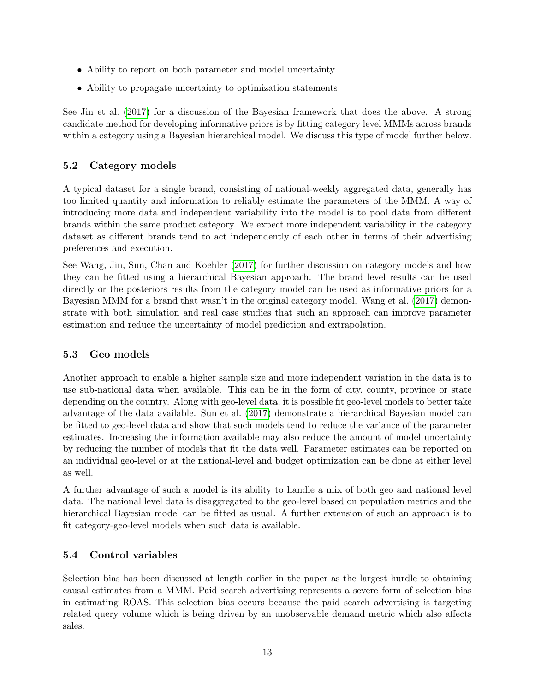- Ability to report on both parameter and model uncertainty
- Ability to propagate uncertainty to optimization statements

See Jin et al. [\(2017\)](#page-15-8) for a discussion of the Bayesian framework that does the above. A strong candidate method for developing informative priors is by fitting category level MMMs across brands within a category using a Bayesian hierarchical model. We discuss this type of model further below.

### 5.2 Category models

A typical dataset for a single brand, consisting of national-weekly aggregated data, generally has too limited quantity and information to reliably estimate the parameters of the MMM. A way of introducing more data and independent variability into the model is to pool data from different brands within the same product category. We expect more independent variability in the category dataset as different brands tend to act independently of each other in terms of their advertising preferences and execution.

See Wang, Jin, Sun, Chan and Koehler [\(2017\)](#page-15-12) for further discussion on category models and how they can be fitted using a hierarchical Bayesian approach. The brand level results can be used directly or the posteriors results from the category model can be used as informative priors for a Bayesian MMM for a brand that wasn't in the original category model. Wang et al. [\(2017\)](#page-15-12) demonstrate with both simulation and real case studies that such an approach can improve parameter estimation and reduce the uncertainty of model prediction and extrapolation.

### 5.3 Geo models

Another approach to enable a higher sample size and more independent variation in the data is to use sub-national data when available. This can be in the form of city, county, province or state depending on the country. Along with geo-level data, it is possible fit geo-level models to better take advantage of the data available. Sun et al. [\(2017\)](#page-15-7) demonstrate a hierarchical Bayesian model can be fitted to geo-level data and show that such models tend to reduce the variance of the parameter estimates. Increasing the information available may also reduce the amount of model uncertainty by reducing the number of models that fit the data well. Parameter estimates can be reported on an individual geo-level or at the national-level and budget optimization can be done at either level as well.

A further advantage of such a model is its ability to handle a mix of both geo and national level data. The national level data is disaggregated to the geo-level based on population metrics and the hierarchical Bayesian model can be fitted as usual. A further extension of such an approach is to fit category-geo-level models when such data is available.

### 5.4 Control variables

Selection bias has been discussed at length earlier in the paper as the largest hurdle to obtaining causal estimates from a MMM. Paid search advertising represents a severe form of selection bias in estimating ROAS. This selection bias occurs because the paid search advertising is targeting related query volume which is being driven by an unobservable demand metric which also affects sales.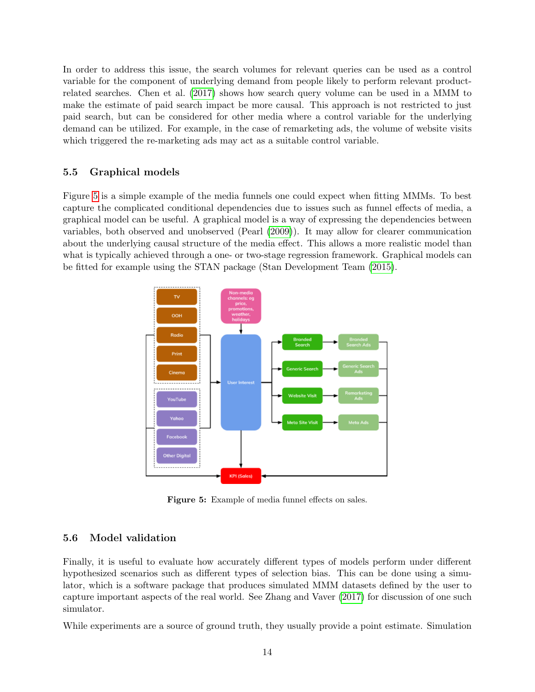In order to address this issue, the search volumes for relevant queries can be used as a control variable for the component of underlying demand from people likely to perform relevant productrelated searches. Chen et al. [\(2017\)](#page-15-13) shows how search query volume can be used in a MMM to make the estimate of paid search impact be more causal. This approach is not restricted to just paid search, but can be considered for other media where a control variable for the underlying demand can be utilized. For example, in the case of remarketing ads, the volume of website visits which triggered the re-marketing ads may act as a suitable control variable.

#### 5.5 Graphical models

Figure [5](#page-13-0) is a simple example of the media funnels one could expect when fitting MMMs. To best capture the complicated conditional dependencies due to issues such as funnel effects of media, a graphical model can be useful. A graphical model is a way of expressing the dependencies between variables, both observed and unobserved (Pearl [\(2009\)](#page-15-9)). It may allow for clearer communication about the underlying causal structure of the media effect. This allows a more realistic model than what is typically achieved through a one- or two-stage regression framework. Graphical models can be fitted for example using the STAN package (Stan Development Team [\(2015\)](#page-15-14).

<span id="page-13-0"></span>

Figure 5: Example of media funnel effects on sales.

#### 5.6 Model validation

Finally, it is useful to evaluate how accurately different types of models perform under different hypothesized scenarios such as different types of selection bias. This can be done using a simulator, which is a software package that produces simulated MMM datasets defined by the user to capture important aspects of the real world. See Zhang and Vaver [\(2017\)](#page-15-15) for discussion of one such simulator.

While experiments are a source of ground truth, they usually provide a point estimate. Simulation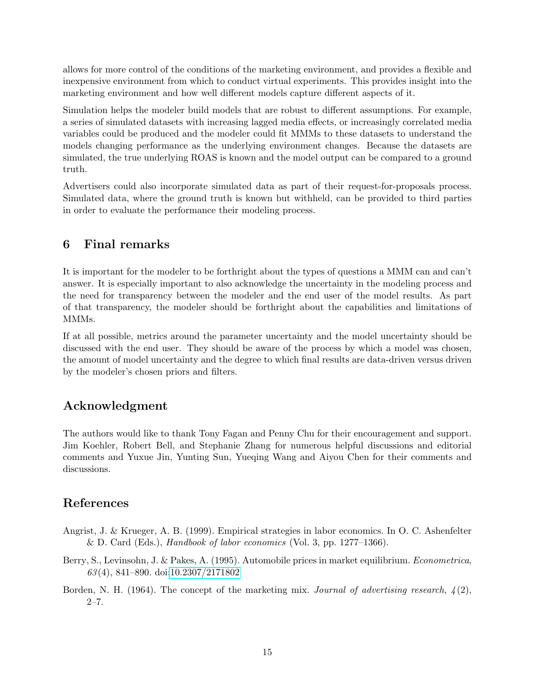allows for more control of the conditions of the marketing environment, and provides a flexible and inexpensive environment from which to conduct virtual experiments. This provides insight into the marketing environment and how well different models capture different aspects of it.

Simulation helps the modeler build models that are robust to different assumptions. For example, a series of simulated datasets with increasing lagged media effects, or increasingly correlated media variables could be produced and the modeler could fit MMMs to these datasets to understand the models changing performance as the underlying environment changes. Because the datasets are simulated, the true underlying ROAS is known and the model output can be compared to a ground truth.

Advertisers could also incorporate simulated data as part of their request-for-proposals process. Simulated data, where the ground truth is known but withheld, can be provided to third parties in order to evaluate the performance their modeling process.

## 6 Final remarks

It is important for the modeler to be forthright about the types of questions a MMM can and can't answer. It is especially important to also acknowledge the uncertainty in the modeling process and the need for transparency between the modeler and the end user of the model results. As part of that transparency, the modeler should be forthright about the capabilities and limitations of MM<sub>S</sub>.

If at all possible, metrics around the parameter uncertainty and the model uncertainty should be discussed with the end user. They should be aware of the process by which a model was chosen, the amount of model uncertainty and the degree to which final results are data-driven versus driven by the modeler's chosen priors and filters.

## Acknowledgment

The authors would like to thank Tony Fagan and Penny Chu for their encouragement and support. Jim Koehler, Robert Bell, and Stephanie Zhang for numerous helpful discussions and editorial comments and Yuxue Jin, Yunting Sun, Yueqing Wang and Aiyou Chen for their comments and discussions.

# References

- <span id="page-14-1"></span>Angrist, J. & Krueger, A. B. (1999). Empirical strategies in labor economics. In O. C. Ashenfelter & D. Card (Eds.), *Handbook of labor economics* (Vol. 3, pp.  $1277-1366$ ).
- <span id="page-14-2"></span>Berry, S., Levinsohn, J. & Pakes, A. (1995). Automobile prices in market equilibrium. Econometrica, 63 (4), 841–890. doi[:10.2307/2171802](http://dx.doi.org/10.2307/2171802)
- <span id="page-14-0"></span>Borden, N. H. (1964). The concept of the marketing mix. Journal of advertising research,  $\mathcal{L}(2)$ ,  $2 - 7$ .